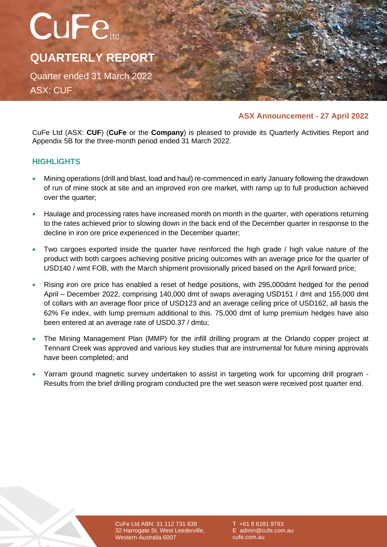

# **ASX Announcement - 27 April 2022**

CuFe Ltd (ASX: **CUF**) (**CuFe** or the **Company**) is pleased to provide its Quarterly Activities Report and Appendix 5B for the three-month period ended 31 March 2022.

# **HIGHLIGHTS**

- Mining operations (drill and blast, load and haul) re-commenced in early January following the drawdown of run of mine stock at site and an improved iron ore market, with ramp up to full production achieved over the quarter;
- Haulage and processing rates have increased month on month in the quarter, with operations returning to the rates achieved prior to slowing down in the back end of the December quarter in response to the decline in iron ore price experienced in the December quarter;
- Two cargoes exported inside the quarter have reinforced the high grade / high value nature of the product with both cargoes achieving positive pricing outcomes with an average price for the quarter of USD140 / wmt FOB, with the March shipment provisionally priced based on the April forward price;
- Rising iron ore price has enabled a reset of hedge positions, with 295,000dmt hedged for the period April – December 2022, comprising 140,000 dmt of swaps averaging USD151 / dmt and 155,000 dmt of collars with an average floor price of USD123 and an average ceiling price of USD162, all basis the 62% Fe index, with lump premium additional to this. 75,000 dmt of lump premium hedges have also been entered at an average rate of USD0.37 / dmtu;
- The Mining Management Plan (MMP) for the infill drilling program at the Orlando copper project at Tennant Creek was approved and various key studies that are instrumental for future mining approvals have been completed; and
- Yarram ground magnetic survey undertaken to assist in targeting work for upcoming drill program Results from the brief drilling program conducted pre the wet season were received post quarter end.

CuFe Ltd ABN: 31 112 731 638 32 Harrogate St, West Leederville, Western Australia 6007

+61 8 6181 9793 E admin@cufe.com.au cufe.com.au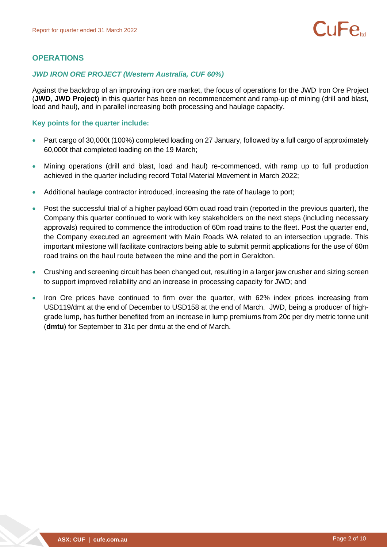# **OPERATIONS**

#### *JWD IRON ORE PROJECT (Western Australia, CUF 60%)*

Against the backdrop of an improving iron ore market, the focus of operations for the JWD Iron Ore Project (**JWD**, **JWD Project**) in this quarter has been on recommencement and ramp-up of mining (drill and blast, load and haul), and in parallel increasing both processing and haulage capacity.

#### **Key points for the quarter include:**

- Part cargo of 30,000t (100%) completed loading on 27 January, followed by a full cargo of approximately 60,000t that completed loading on the 19 March;
- Mining operations (drill and blast, load and haul) re-commenced, with ramp up to full production achieved in the quarter including record Total Material Movement in March 2022;
- Additional haulage contractor introduced, increasing the rate of haulage to port;
- Post the successful trial of a higher payload 60m quad road train (reported in the previous quarter), the Company this quarter continued to work with key stakeholders on the next steps (including necessary approvals) required to commence the introduction of 60m road trains to the fleet. Post the quarter end, the Company executed an agreement with Main Roads WA related to an intersection upgrade. This important milestone will facilitate contractors being able to submit permit applications for the use of 60m road trains on the haul route between the mine and the port in Geraldton.
- Crushing and screening circuit has been changed out, resulting in a larger jaw crusher and sizing screen to support improved reliability and an increase in processing capacity for JWD; and
- Iron Ore prices have continued to firm over the quarter, with 62% index prices increasing from USD119/dmt at the end of December to USD158 at the end of March. JWD, being a producer of highgrade lump, has further benefited from an increase in lump premiums from 20c per dry metric tonne unit (**dmtu**) for September to 31c per dmtu at the end of March.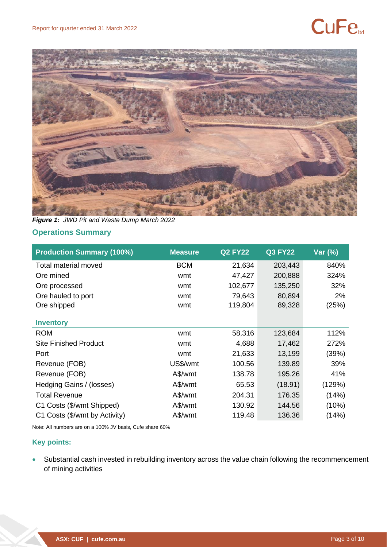# **CuFe**



*Figure 1: JWD Pit and Waste Dump March 2022*

# **Operations Summary**

| <b>Production Summary (100%)</b> | <b>Measure</b> | <b>Q2 FY22</b> | <b>Q3 FY22</b> | Var (%) |
|----------------------------------|----------------|----------------|----------------|---------|
| Total material moved             | <b>BCM</b>     | 21,634         | 203,443        | 840%    |
| Ore mined                        | wmt            | 47,427         | 200,888        | 324%    |
| Ore processed                    | wmt            | 102,677        | 135,250        | 32%     |
| Ore hauled to port               | wmt            | 79,643         | 80,894         | 2%      |
| Ore shipped                      | wmt            | 119,804        | 89,328         | (25%)   |
| <b>Inventory</b>                 |                |                |                |         |
| <b>ROM</b>                       | wmt            | 58,316         | 123,684        | 112%    |
| <b>Site Finished Product</b>     | wmt            | 4,688          | 17,462         | 272%    |
| Port                             | wmt            | 21,633         | 13,199         | (39%)   |
| Revenue (FOB)                    | US\$/wmt       | 100.56         | 139.89         | 39%     |
| Revenue (FOB)                    | A\$/wmt        | 138.78         | 195.26         | 41%     |
| Hedging Gains / (losses)         | A\$/wmt        | 65.53          | (18.91)        | (129%)  |
| <b>Total Revenue</b>             | A\$/wmt        | 204.31         | 176.35         | (14%)   |
| C1 Costs (\$/wmt Shipped)        | A\$/wmt        | 130.92         | 144.56         | (10%)   |
| C1 Costs (\$/wmt by Activity)    | A\$/wmt        | 119.48         | 136.36         | (14%)   |

Note: All numbers are on a 100% JV basis, Cufe share 60%

# **Key points:**

• Substantial cash invested in rebuilding inventory across the value chain following the recommencement of mining activities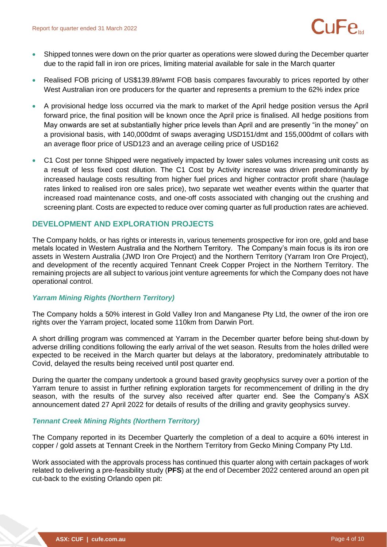- Shipped tonnes were down on the prior quarter as operations were slowed during the December quarter due to the rapid fall in iron ore prices, limiting material available for sale in the March quarter
- Realised FOB pricing of US\$139.89/wmt FOB basis compares favourably to prices reported by other West Australian iron ore producers for the quarter and represents a premium to the 62% index price
- A provisional hedge loss occurred via the mark to market of the April hedge position versus the April forward price, the final position will be known once the April price is finalised. All hedge positions from May onwards are set at substantially higher price levels than April and are presently "in the money" on a provisional basis, with 140,000dmt of swaps averaging USD151/dmt and 155,000dmt of collars with an average floor price of USD123 and an average ceiling price of USD162
- C1 Cost per tonne Shipped were negatively impacted by lower sales volumes increasing unit costs as a result of less fixed cost dilution. The C1 Cost by Activity increase was driven predominantly by increased haulage costs resulting from higher fuel prices and higher contractor profit share (haulage rates linked to realised iron ore sales price), two separate wet weather events within the quarter that increased road maintenance costs, and one-off costs associated with changing out the crushing and screening plant. Costs are expected to reduce over coming quarter as full production rates are achieved.

# **DEVELOPMENT AND EXPLORATION PROJECTS**

The Company holds, or has rights or interests in, various tenements prospective for iron ore, gold and base metals located in Western Australia and the Northern Territory. The Company's main focus is its iron ore assets in Western Australia (JWD Iron Ore Project) and the Northern Territory (Yarram Iron Ore Project), and development of the recently acquired Tennant Creek Copper Project in the Northern Territory. The remaining projects are all subject to various joint venture agreements for which the Company does not have operational control.

## *Yarram Mining Rights (Northern Territory)*

The Company holds a 50% interest in Gold Valley Iron and Manganese Pty Ltd, the owner of the iron ore rights over the Yarram project, located some 110km from Darwin Port.

A short drilling program was commenced at Yarram in the December quarter before being shut-down by adverse drilling conditions following the early arrival of the wet season. Results from the holes drilled were expected to be received in the March quarter but delays at the laboratory, predominately attributable to Covid, delayed the results being received until post quarter end.

During the quarter the company undertook a ground based gravity geophysics survey over a portion of the Yarram tenure to assist in further refining exploration targets for recommencement of drilling in the dry season, with the results of the survey also received after quarter end. See the Company's ASX announcement dated 27 April 2022 for details of results of the drilling and gravity geophysics survey.

#### *Tennant Creek Mining Rights (Northern Territory)*

The Company reported in its December Quarterly the completion of a deal to acquire a 60% interest in copper / gold assets at Tennant Creek in the Northern Territory from Gecko Mining Company Pty Ltd.

Work associated with the approvals process has continued this quarter along with certain packages of work related to delivering a pre-feasibility study (**PFS**) at the end of December 2022 centered around an open pit cut-back to the existing Orlando open pit: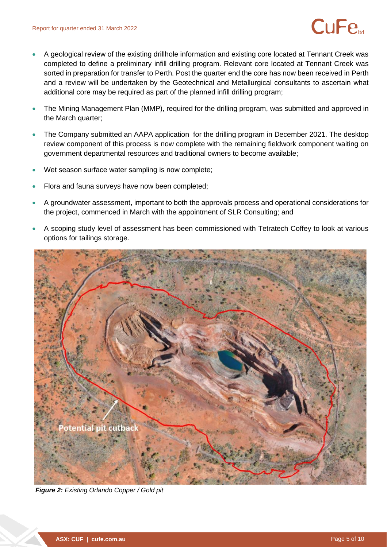- A geological review of the existing drillhole information and existing core located at Tennant Creek was completed to define a preliminary infill drilling program. Relevant core located at Tennant Creek was sorted in preparation for transfer to Perth. Post the quarter end the core has now been received in Perth and a review will be undertaken by the Geotechnical and Metallurgical consultants to ascertain what additional core may be required as part of the planned infill drilling program;
- The Mining Management Plan (MMP), required for the drilling program, was submitted and approved in the March quarter;
- The Company submitted an AAPA application for the drilling program in December 2021. The desktop review component of this process is now complete with the remaining fieldwork component waiting on government departmental resources and traditional owners to become available;
- Wet season surface water sampling is now complete;
- Flora and fauna surveys have now been completed;
- A groundwater assessment, important to both the approvals process and operational considerations for the project, commenced in March with the appointment of SLR Consulting; and
- A scoping study level of assessment has been commissioned with Tetratech Coffey to look at various options for tailings storage.



*Figure 2: Existing Orlando Copper / Gold pit*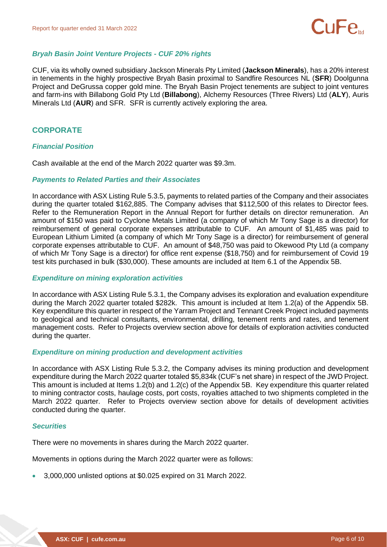

## *Bryah Basin Joint Venture Projects - CUF 20% rights*

CUF, via its wholly owned subsidiary Jackson Minerals Pty Limited (**Jackson Minerals**), has a 20% interest in tenements in the highly prospective Bryah Basin proximal to Sandfire Resources NL (**SFR**) Doolgunna Project and DeGrussa copper gold mine. The Bryah Basin Project tenements are subject to joint ventures and farm-ins with Billabong Gold Pty Ltd (**Billabong**), Alchemy Resources (Three Rivers) Ltd (**ALY**), Auris Minerals Ltd (**AUR**) and SFR. SFR is currently actively exploring the area.

# **CORPORATE**

#### *Financial Position*

Cash available at the end of the March 2022 quarter was \$9.3m.

#### *Payments to Related Parties and their Associates*

In accordance with ASX Listing Rule 5.3.5, payments to related parties of the Company and their associates during the quarter totaled \$162,885. The Company advises that \$112,500 of this relates to Director fees. Refer to the Remuneration Report in the Annual Report for further details on director remuneration. An amount of \$150 was paid to Cyclone Metals Limited (a company of which Mr Tony Sage is a director) for reimbursement of general corporate expenses attributable to CUF. An amount of \$1,485 was paid to European Lithium Limited (a company of which Mr Tony Sage is a director) for reimbursement of general corporate expenses attributable to CUF. An amount of \$48,750 was paid to Okewood Pty Ltd (a company of which Mr Tony Sage is a director) for office rent expense (\$18,750) and for reimbursement of Covid 19 test kits purchased in bulk (\$30,000). These amounts are included at Item 6.1 of the Appendix 5B.

#### *Expenditure on mining exploration activities*

In accordance with ASX Listing Rule 5.3.1, the Company advises its exploration and evaluation expenditure during the March 2022 quarter totaled \$282k. This amount is included at Item 1.2(a) of the Appendix 5B. Key expenditure this quarter in respect of the Yarram Project and Tennant Creek Project included payments to geological and technical consultants, environmental, drilling, tenement rents and rates, and tenement management costs. Refer to Projects overview section above for details of exploration activities conducted during the quarter.

#### *Expenditure on mining production and development activities*

In accordance with ASX Listing Rule 5.3.2, the Company advises its mining production and development expenditure during the March 2022 quarter totaled \$5,834k (CUF's net share) in respect of the JWD Project. This amount is included at Items 1.2(b) and 1.2(c) of the Appendix 5B. Key expenditure this quarter related to mining contractor costs, haulage costs, port costs, royalties attached to two shipments completed in the March 2022 quarter. Refer to Projects overview section above for details of development activities conducted during the quarter.

#### *Securities*

There were no movements in shares during the March 2022 quarter.

Movements in options during the March 2022 quarter were as follows:

• 3,000,000 unlisted options at \$0.025 expired on 31 March 2022.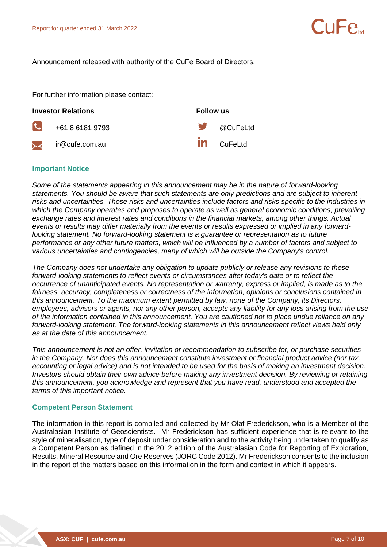Announcement released with authority of the CuFe Board of Directors.

+61 8 6181 9793 @CuFeLtd

For further information please contact:

#### **Investor Relations Follow us**

 $\mathbf{C}$ 

 $\boldsymbol{\times}$ 

ir@cufe.com.au current in the CuFeLtd

#### **Important Notice**

*Some of the statements appearing in this announcement may be in the nature of forward-looking statements. You should be aware that such statements are only predictions and are subject to inherent risks and uncertainties. Those risks and uncertainties include factors and risks specific to the industries in which the Company operates and proposes to operate as well as general economic conditions, prevailing exchange rates and interest rates and conditions in the financial markets, among other things. Actual events or results may differ materially from the events or results expressed or implied in any forwardlooking statement. No forward-looking statement is a guarantee or representation as to future performance or any other future matters, which will be influenced by a number of factors and subject to various uncertainties and contingencies, many of which will be outside the Company's control.* 

*The Company does not undertake any obligation to update publicly or release any revisions to these forward-looking statements to reflect events or circumstances after today's date or to reflect the occurrence of unanticipated events. No representation or warranty, express or implied, is made as to the fairness, accuracy, completeness or correctness of the information, opinions or conclusions contained in this announcement. To the maximum extent permitted by law, none of the Company, its Directors, employees, advisors or agents, nor any other person, accepts any liability for any loss arising from the use of the information contained in this announcement. You are cautioned not to place undue reliance on any forward-looking statement. The forward-looking statements in this announcement reflect views held only as at the date of this announcement.* 

*This announcement is not an offer, invitation or recommendation to subscribe for, or purchase securities in the Company. Nor does this announcement constitute investment or financial product advice (nor tax, accounting or legal advice) and is not intended to be used for the basis of making an investment decision. Investors should obtain their own advice before making any investment decision. By reviewing or retaining this announcement, you acknowledge and represent that you have read, understood and accepted the terms of this important notice.*

#### **Competent Person Statement**

The information in this report is compiled and collected by Mr Olaf Frederickson, who is a Member of the Australasian Institute of Geoscientists. Mr Frederickson has sufficient experience that is relevant to the style of mineralisation, type of deposit under consideration and to the activity being undertaken to qualify as a Competent Person as defined in the 2012 edition of the Australasian Code for Reporting of Exploration, Results, Mineral Resource and Ore Reserves (JORC Code 2012). Mr Frederickson consents to the inclusion in the report of the matters based on this information in the form and context in which it appears.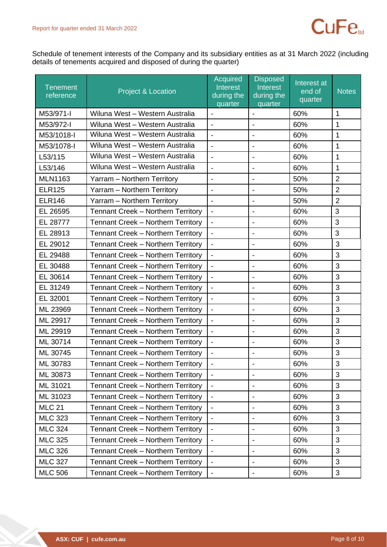

Schedule of tenement interests of the Company and its subsidiary entities as at 31 March 2022 (including details of tenements acquired and disposed of during the quarter)

| <b>Tenement</b><br>reference | <b>Project &amp; Location</b>      | <b>Acquired</b><br>Interest<br>during the<br>quarter | <b>Disposed</b><br>Interest<br>during the<br>quarter | Interest at<br>end of<br>quarter | <b>Notes</b>   |
|------------------------------|------------------------------------|------------------------------------------------------|------------------------------------------------------|----------------------------------|----------------|
| M53/971-I                    | Wiluna West - Western Australia    | $\overline{\phantom{a}}$                             | $\blacksquare$                                       | 60%                              | 1              |
| M53/972-I                    | Wiluna West - Western Australia    | $\blacksquare$                                       |                                                      | 60%                              | 1              |
| M53/1018-I                   | Wiluna West - Western Australia    | $\overline{a}$                                       | $\overline{\phantom{a}}$                             | 60%                              | 1              |
| M53/1078-I                   | Wiluna West - Western Australia    | $\overline{a}$                                       |                                                      | 60%                              | 1              |
| L53/115                      | Wiluna West - Western Australia    | $\frac{1}{2}$                                        | $\blacksquare$                                       | 60%                              | 1              |
| L53/146                      | Wiluna West - Western Australia    | $\overline{a}$                                       | $\blacksquare$                                       | 60%                              | 1              |
| <b>MLN1163</b>               | Yarram - Northern Territory        | $\overline{\phantom{0}}$                             | $\overline{\phantom{a}}$                             | 50%                              | $\overline{2}$ |
| <b>ELR125</b>                | Yarram - Northern Territory        | $\blacksquare$                                       | $\overline{\phantom{a}}$                             | 50%                              | $\overline{2}$ |
| <b>ELR146</b>                | Yarram - Northern Territory        | $\blacksquare$                                       |                                                      | 50%                              | $\overline{2}$ |
| EL 26595                     | Tennant Creek - Northern Territory | $\blacksquare$                                       | $\blacksquare$                                       | 60%                              | 3              |
| EL 28777                     | Tennant Creek - Northern Territory | $\blacksquare$                                       | $\overline{\phantom{a}}$                             | 60%                              | 3              |
| EL 28913                     | Tennant Creek - Northern Territory | $\overline{\phantom{a}}$                             |                                                      | 60%                              | 3              |
| EL 29012                     | Tennant Creek - Northern Territory | $\blacksquare$                                       | $\overline{\phantom{a}}$                             | 60%                              | 3              |
| EL 29488                     | Tennant Creek - Northern Territory | $\blacksquare$                                       | $\overline{\phantom{a}}$                             | 60%                              | 3              |
| EL 30488                     | Tennant Creek - Northern Territory | $\blacksquare$                                       | $\overline{\phantom{a}}$                             | 60%                              | 3              |
| EL 30614                     | Tennant Creek - Northern Territory | $\blacksquare$                                       | $\blacksquare$                                       | 60%                              | 3              |
| EL 31249                     | Tennant Creek - Northern Territory | $\qquad \qquad \blacksquare$                         |                                                      | 60%                              | 3              |
| EL 32001                     | Tennant Creek - Northern Territory | $\blacksquare$                                       | $\blacksquare$                                       | 60%                              | 3              |
| ML 23969                     | Tennant Creek - Northern Territory | $\blacksquare$                                       | $\overline{\phantom{a}}$                             | 60%                              | 3              |
| ML 29917                     | Tennant Creek - Northern Territory | $\blacksquare$                                       | $\overline{\phantom{a}}$                             | 60%                              | 3              |
| ML 29919                     | Tennant Creek - Northern Territory | $\blacksquare$                                       | $\overline{\phantom{a}}$                             | 60%                              | 3              |
| ML 30714                     | Tennant Creek - Northern Territory | $\overline{\phantom{a}}$                             | $\overline{\phantom{a}}$                             | 60%                              | 3              |
| ML 30745                     | Tennant Creek - Northern Territory |                                                      |                                                      | 60%                              | 3              |
| ML 30783                     | Tennant Creek - Northern Territory |                                                      |                                                      | 60%                              | $\mathbf{3}$   |
| ML 30873                     | Tennant Creek - Northern Territory | $\blacksquare$                                       | $\overline{\phantom{a}}$                             | 60%                              | 3              |
| ML 31021                     | Tennant Creek - Northern Territory | $\overline{\phantom{a}}$                             | $\overline{\phantom{a}}$                             | 60%                              | 3              |
| ML 31023                     | Tennant Creek - Northern Territory |                                                      |                                                      | 60%                              | 3              |
| <b>MLC 21</b>                | Tennant Creek - Northern Territory | $\overline{\phantom{a}}$                             |                                                      | 60%                              | 3              |
| <b>MLC 323</b>               | Tennant Creek - Northern Territory | $\overline{\phantom{a}}$                             | $\overline{\phantom{a}}$                             | 60%                              | 3              |
| <b>MLC 324</b>               | Tennant Creek - Northern Territory | $\blacksquare$                                       | $\blacksquare$                                       | 60%                              | $\mathfrak{B}$ |
| <b>MLC 325</b>               | Tennant Creek - Northern Territory | $\overline{\phantom{a}}$                             | $\overline{\phantom{a}}$                             | 60%                              | 3              |
| <b>MLC 326</b>               | Tennant Creek - Northern Territory |                                                      |                                                      | 60%                              | 3              |
| <b>MLC 327</b>               | Tennant Creek - Northern Territory |                                                      |                                                      | 60%                              | 3              |
| <b>MLC 506</b>               | Tennant Creek - Northern Territory | $\overline{\phantom{a}}$                             | $\overline{\phantom{a}}$                             | 60%                              | 3              |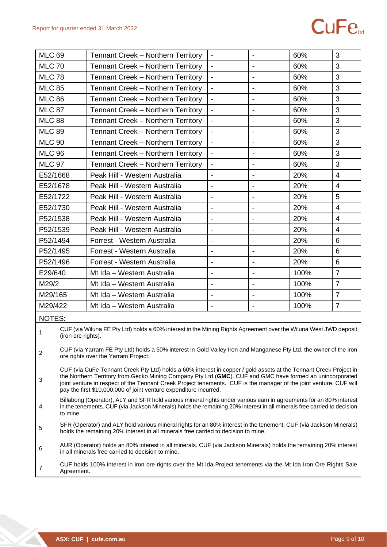# **CuFe**

| <b>MLC 69</b>                                                                                                                                                                                                                                                                                                                                                                                                                  | Tennant Creek - Northern Territory                                                                                                                                                                       | $\overline{\phantom{a}}$ |                              | 60%  | 3              |
|--------------------------------------------------------------------------------------------------------------------------------------------------------------------------------------------------------------------------------------------------------------------------------------------------------------------------------------------------------------------------------------------------------------------------------|----------------------------------------------------------------------------------------------------------------------------------------------------------------------------------------------------------|--------------------------|------------------------------|------|----------------|
| <b>MLC 70</b>                                                                                                                                                                                                                                                                                                                                                                                                                  | Tennant Creek - Northern Territory                                                                                                                                                                       | $\blacksquare$           |                              | 60%  | 3              |
| <b>MLC 78</b>                                                                                                                                                                                                                                                                                                                                                                                                                  | Tennant Creek - Northern Territory                                                                                                                                                                       | $\blacksquare$           | $\overline{\phantom{0}}$     | 60%  | 3              |
| <b>MLC 85</b>                                                                                                                                                                                                                                                                                                                                                                                                                  | <b>Tennant Creek - Northern Territory</b>                                                                                                                                                                | $\overline{\phantom{a}}$ |                              | 60%  | 3              |
| <b>MLC 86</b>                                                                                                                                                                                                                                                                                                                                                                                                                  | <b>Tennant Creek - Northern Territory</b>                                                                                                                                                                | $\overline{\phantom{a}}$ |                              | 60%  | 3              |
| <b>MLC 87</b>                                                                                                                                                                                                                                                                                                                                                                                                                  | Tennant Creek - Northern Territory                                                                                                                                                                       | $\blacksquare$           |                              | 60%  | 3              |
| <b>MLC 88</b>                                                                                                                                                                                                                                                                                                                                                                                                                  | Tennant Creek - Northern Territory                                                                                                                                                                       | $\blacksquare$           |                              | 60%  | 3              |
| <b>MLC 89</b>                                                                                                                                                                                                                                                                                                                                                                                                                  | <b>Tennant Creek - Northern Territory</b>                                                                                                                                                                | $\blacksquare$           | $\overline{\phantom{a}}$     | 60%  | 3              |
| <b>MLC 90</b>                                                                                                                                                                                                                                                                                                                                                                                                                  | Tennant Creek - Northern Territory                                                                                                                                                                       | $\overline{\phantom{a}}$ |                              | 60%  | 3              |
| <b>MLC 96</b>                                                                                                                                                                                                                                                                                                                                                                                                                  | Tennant Creek - Northern Territory                                                                                                                                                                       | $\overline{\phantom{a}}$ |                              | 60%  | 3              |
| <b>MLC 97</b>                                                                                                                                                                                                                                                                                                                                                                                                                  | Tennant Creek - Northern Territory                                                                                                                                                                       | $\overline{\phantom{a}}$ |                              | 60%  | 3              |
| E52/1668                                                                                                                                                                                                                                                                                                                                                                                                                       | Peak Hill - Western Australia                                                                                                                                                                            | $\blacksquare$           | $\overline{\phantom{a}}$     | 20%  | $\overline{4}$ |
| E52/1678                                                                                                                                                                                                                                                                                                                                                                                                                       | Peak Hill - Western Australia                                                                                                                                                                            | $\blacksquare$           |                              | 20%  | $\overline{4}$ |
| E52/1722                                                                                                                                                                                                                                                                                                                                                                                                                       | Peak Hill - Western Australia                                                                                                                                                                            | $\blacksquare$           |                              | 20%  | 5              |
| E52/1730                                                                                                                                                                                                                                                                                                                                                                                                                       | Peak Hill - Western Australia                                                                                                                                                                            | $\blacksquare$           |                              | 20%  | $\overline{4}$ |
| P52/1538                                                                                                                                                                                                                                                                                                                                                                                                                       | Peak Hill - Western Australia                                                                                                                                                                            | $\blacksquare$           |                              | 20%  | $\overline{4}$ |
| P52/1539                                                                                                                                                                                                                                                                                                                                                                                                                       | Peak Hill - Western Australia                                                                                                                                                                            | $\blacksquare$           | $\qquad \qquad \blacksquare$ | 20%  | $\overline{4}$ |
| P52/1494                                                                                                                                                                                                                                                                                                                                                                                                                       | Forrest - Western Australia                                                                                                                                                                              | $\blacksquare$           |                              | 20%  | 6              |
| P52/1495                                                                                                                                                                                                                                                                                                                                                                                                                       | Forrest - Western Australia                                                                                                                                                                              |                          |                              | 20%  | 6              |
| P52/1496                                                                                                                                                                                                                                                                                                                                                                                                                       | Forrest - Western Australia                                                                                                                                                                              | $\blacksquare$           |                              | 20%  | 6              |
| E29/640                                                                                                                                                                                                                                                                                                                                                                                                                        | Mt Ida - Western Australia                                                                                                                                                                               | $\overline{\phantom{a}}$ |                              | 100% | $\overline{7}$ |
| M29/2                                                                                                                                                                                                                                                                                                                                                                                                                          | Mt Ida - Western Australia                                                                                                                                                                               | $\overline{\phantom{a}}$ | $\overline{\phantom{a}}$     | 100% | $\overline{7}$ |
| M29/165                                                                                                                                                                                                                                                                                                                                                                                                                        | Mt Ida - Western Australia                                                                                                                                                                               | $\overline{\phantom{a}}$ | $\overline{\phantom{a}}$     | 100% | $\overline{7}$ |
| M29/422                                                                                                                                                                                                                                                                                                                                                                                                                        | Mt Ida - Western Australia                                                                                                                                                                               | $\overline{\phantom{a}}$ | $\blacksquare$               | 100% | $\overline{7}$ |
| <b>NOTES:</b>                                                                                                                                                                                                                                                                                                                                                                                                                  |                                                                                                                                                                                                          |                          |                              |      |                |
| 1<br>(iron ore rights).                                                                                                                                                                                                                                                                                                                                                                                                        | CUF (via Wiluna FE Pty Ltd) holds a 60% interest in the Mining Rights Agreement over the Wiluna West JWD deposit                                                                                         |                          |                              |      |                |
| $\overline{c}$                                                                                                                                                                                                                                                                                                                                                                                                                 | CUF (via Yarram FE Pty Ltd) holds a 50% interest in Gold Valley Iron and Manganese Pty Ltd, the owner of the iron<br>ore rights over the Yarram Project.                                                 |                          |                              |      |                |
| CUF (via CuFe Tennant Creek Pty Ltd) holds a 60% interest in copper / gold assets at the Tennant Creek Project in<br>the Northern Territory from Gecko Mining Company Pty Ltd (GMC). CUF and GMC have formed an unincorporated<br>3<br>joint venture in respect of the Tennant Creek Project tenements. CUF is the manager of the joint venture. CUF will<br>pay the first \$10,000,000 of joint venture expenditure incurred. |                                                                                                                                                                                                          |                          |                              |      |                |
| Billabong (Operator), ALY and SFR hold various mineral rights under various earn in agreements for an 80% interest<br>in the tenements. CUF (via Jackson Minerals) holds the remaining 20% interest in all minerals free carried to decision<br>4<br>to mine.                                                                                                                                                                  |                                                                                                                                                                                                          |                          |                              |      |                |
| 5                                                                                                                                                                                                                                                                                                                                                                                                                              | SFR (Operator) and ALY hold various mineral rights for an 80% interest in the tenement. CUF (via Jackson Minerals)<br>holds the remaining 20% interest in all minerals free carried to decision to mine. |                          |                              |      |                |
| 6                                                                                                                                                                                                                                                                                                                                                                                                                              | AUR (Operator) holds an 80% interest in all minerals. CUF (via Jackson Minerals) holds the remaining 20% interest<br>in all minerals free carried to decision to mine.                                   |                          |                              |      |                |
| 7<br>Agreement.                                                                                                                                                                                                                                                                                                                                                                                                                | CUF holds 100% interest in iron ore rights over the Mt Ida Project tenements via the Mt Ida Iron Ore Rights Sale                                                                                         |                          |                              |      |                |

×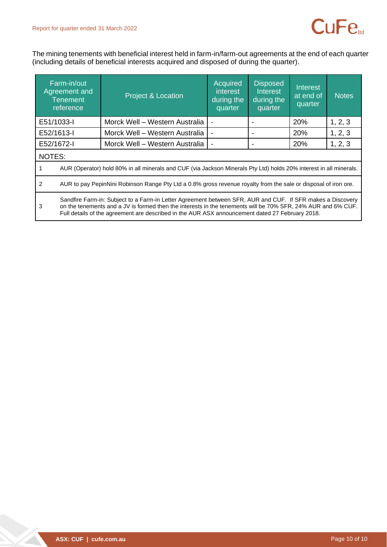

The mining tenements with beneficial interest held in farm-in/farm-out agreements at the end of each quarter (including details of beneficial interests acquired and disposed of during the quarter).

|            | Farm-in/out<br>Agreement and<br><b>Tenement</b><br>reference                                                                                                                                                                                                                                                                  | <b>Project &amp; Location</b>  | Acquired<br><i>interest</i><br>during the<br>quarter | <b>Disposed</b><br><b>Interest</b><br>during the<br>quarter | Interest<br>at end of<br>quarter | <b>Notes</b> |  |
|------------|-------------------------------------------------------------------------------------------------------------------------------------------------------------------------------------------------------------------------------------------------------------------------------------------------------------------------------|--------------------------------|------------------------------------------------------|-------------------------------------------------------------|----------------------------------|--------------|--|
| E51/1033-I |                                                                                                                                                                                                                                                                                                                               | Morck Well - Western Australia |                                                      |                                                             | 20%                              | 1, 2, 3      |  |
| E52/1613-I |                                                                                                                                                                                                                                                                                                                               | Morck Well - Western Australia |                                                      |                                                             | 20%                              | 1, 2, 3      |  |
| E52/1672-I |                                                                                                                                                                                                                                                                                                                               | Morck Well - Western Australia |                                                      |                                                             | <b>20%</b>                       | 1, 2, 3      |  |
|            | NOTES:                                                                                                                                                                                                                                                                                                                        |                                |                                                      |                                                             |                                  |              |  |
|            | AUR (Operator) hold 80% in all minerals and CUF (via Jackson Minerals Pty Ltd) holds 20% interest in all minerals.                                                                                                                                                                                                            |                                |                                                      |                                                             |                                  |              |  |
| 2          | AUR to pay PepinNini Robinson Range Pty Ltd a 0.8% gross revenue royalty from the sale or disposal of iron ore.                                                                                                                                                                                                               |                                |                                                      |                                                             |                                  |              |  |
| 3          | Sandfire Farm-in: Subject to a Farm-in Letter Agreement between SFR, AUR and CUF. If SFR makes a Discovery<br>on the tenements and a JV is formed then the interests in the tenements will be 70% SFR, 24% AUR and 6% CUF.<br>Full details of the agreement are described in the AUR ASX announcement dated 27 February 2018. |                                |                                                      |                                                             |                                  |              |  |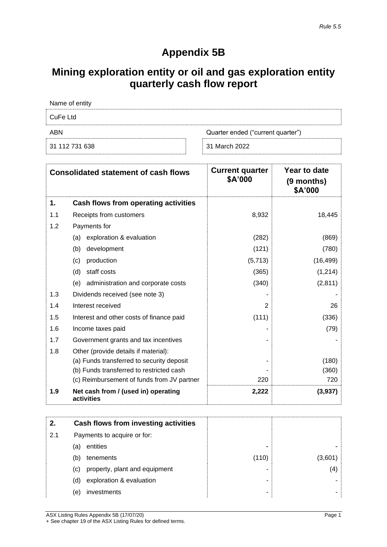# **Appendix 5B**

# **Mining exploration entity or oil and gas exploration entity quarterly cash flow report**

| Name of entity |                                   |
|----------------|-----------------------------------|
| CuFe Ltd       |                                   |
| ABN            | Quarter ended ("current quarter") |
| 31 112 731 638 | 31 March 2022                     |

|     | <b>Consolidated statement of cash flows</b>       | <b>Current quarter</b><br>\$A'000 | Year to date<br>(9 months)<br>\$A'000 |
|-----|---------------------------------------------------|-----------------------------------|---------------------------------------|
| 1.  | Cash flows from operating activities              |                                   |                                       |
| 1.1 | Receipts from customers                           | 8,932                             | 18,445                                |
| 1.2 | Payments for                                      |                                   |                                       |
|     | exploration & evaluation<br>(a)                   | (282)                             | (869)                                 |
|     | (b)<br>development                                | (121)                             | (780)                                 |
|     | (c)<br>production                                 | (5,713)                           | (16, 499)                             |
|     | (d)<br>staff costs                                | (365)                             | (1,214)                               |
|     | administration and corporate costs<br>(e)         | (340)                             | (2,811)                               |
| 1.3 | Dividends received (see note 3)                   |                                   |                                       |
| 1.4 | Interest received                                 | 2                                 | 26                                    |
| 1.5 | Interest and other costs of finance paid          | (111)                             | (336)                                 |
| 1.6 | Income taxes paid                                 |                                   | (79)                                  |
| 1.7 | Government grants and tax incentives              |                                   |                                       |
| 1.8 | Other (provide details if material):              |                                   |                                       |
|     | (a) Funds transferred to security deposit         |                                   | (180)                                 |
|     | (b) Funds transferred to restricted cash          |                                   | (360)                                 |
|     | (c) Reimbursement of funds from JV partner        | 220                               | 720                                   |
| 1.9 | Net cash from / (used in) operating<br>activities | 2,222                             | (3,937)                               |

|     |     | Cash flows from investing activities |       |         |
|-----|-----|--------------------------------------|-------|---------|
| 2.1 |     | Payments to acquire or for:          |       |         |
|     | (a) | entities                             | -     |         |
|     | (b) | tenements                            | (110) | (3,601) |
|     | (C) | property, plant and equipment        | -     | (4)     |
|     | (d) | exploration & evaluation             | -     |         |
|     | (e) | investments                          | -     |         |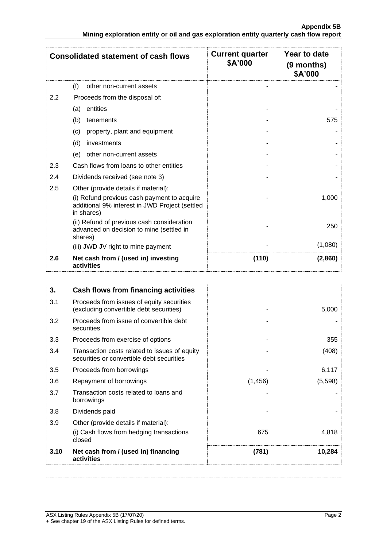|                  | <b>Consolidated statement of cash flows</b>                                                                                                         | <b>Current quarter</b><br>\$A'000 | Year to date<br>(9 months)<br>\$A'000 |
|------------------|-----------------------------------------------------------------------------------------------------------------------------------------------------|-----------------------------------|---------------------------------------|
|                  | (f)<br>other non-current assets                                                                                                                     |                                   |                                       |
| $2.2\phantom{0}$ | Proceeds from the disposal of:                                                                                                                      |                                   |                                       |
|                  | entities<br>(a)                                                                                                                                     |                                   |                                       |
|                  | (b)<br>tenements                                                                                                                                    |                                   | 575                                   |
|                  | property, plant and equipment<br>(c)                                                                                                                |                                   |                                       |
|                  | (d)<br>investments                                                                                                                                  |                                   |                                       |
|                  | other non-current assets<br>(e)                                                                                                                     |                                   |                                       |
| 2.3              | Cash flows from loans to other entities                                                                                                             |                                   |                                       |
| 2.4              | Dividends received (see note 3)                                                                                                                     |                                   |                                       |
| 2.5              | Other (provide details if material):<br>(i) Refund previous cash payment to acquire<br>additional 9% interest in JWD Project (settled<br>in shares) |                                   | 1,000                                 |
|                  | (ii) Refund of previous cash consideration<br>advanced on decision to mine (settled in<br>shares)                                                   |                                   | 250                                   |
|                  | (iii) JWD JV right to mine payment                                                                                                                  |                                   | (1,080)                               |
| 2.6              | Net cash from / (used in) investing<br>activities                                                                                                   | (110)                             | (2,860)                               |

| 3.   | Cash flows from financing activities                                                       |         |         |
|------|--------------------------------------------------------------------------------------------|---------|---------|
| 3.1  | Proceeds from issues of equity securities<br>(excluding convertible debt securities)       |         | 5,000   |
| 3.2  | Proceeds from issue of convertible debt<br>securities                                      |         |         |
| 3.3  | Proceeds from exercise of options                                                          |         | 355     |
| 3.4  | Transaction costs related to issues of equity<br>securities or convertible debt securities |         | (408)   |
| 3.5  | Proceeds from borrowings                                                                   |         | 6,117   |
| 3.6  | Repayment of borrowings                                                                    | (1,456) | (5,598) |
| 3.7  | Transaction costs related to loans and<br>borrowings                                       |         |         |
| 3.8  | Dividends paid                                                                             |         |         |
| 3.9  | Other (provide details if material):                                                       |         |         |
|      | (i) Cash flows from hedging transactions<br>closed                                         | 675     | 4,818   |
| 3.10 | Net cash from / (used in) financing<br>activities                                          | (781)   | 10,284  |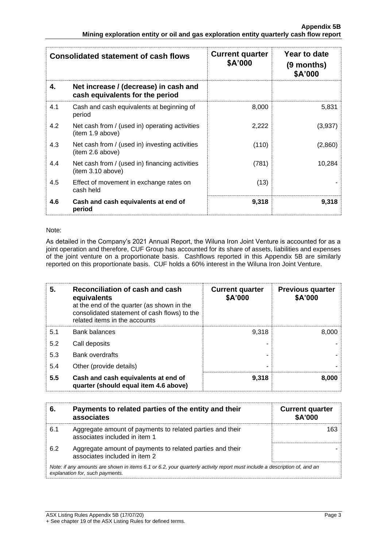|     | <b>Consolidated statement of cash flows</b>                              | <b>Current quarter</b><br>\$A'000 | Year to date<br>(9 months)<br>\$A'000 |
|-----|--------------------------------------------------------------------------|-----------------------------------|---------------------------------------|
| 4.  | Net increase / (decrease) in cash and<br>cash equivalents for the period |                                   |                                       |
| 4.1 | Cash and cash equivalents at beginning of<br>period                      | 8,000                             | 5,831                                 |
| 4.2 | Net cash from / (used in) operating activities<br>(item 1.9 above)       | 2,222                             | (3,937)                               |
| 4.3 | Net cash from / (used in) investing activities<br>(item 2.6 above)       | (110)                             | (2,860)                               |
| 4.4 | Net cash from / (used in) financing activities<br>item 3.10 above)       | (781)                             | 10.284                                |
| 4.5 | Effect of movement in exchange rates on<br>cash held                     | (13)                              |                                       |
| 4.6 | Cash and cash equivalents at end of<br>period                            | 9,318                             | 9,318                                 |

#### Note:

As detailed in the Company's 2021 Annual Report, the Wiluna Iron Joint Venture is accounted for as a joint operation and therefore, CUF Group has accounted for its share of assets, liabilities and expenses of the joint venture on a proportionate basis. Cashflows reported in this Appendix 5B are similarly reported on this proportionate basis. CUF holds a 60% interest in the Wiluna Iron Joint Venture.

| 5.  | Reconciliation of cash and cash<br>equivalents<br>at the end of the quarter (as shown in the<br>consolidated statement of cash flows) to the<br>related items in the accounts | <b>Current quarter</b><br>\$A'000 | <b>Previous quarter</b><br>\$A'000 |
|-----|-------------------------------------------------------------------------------------------------------------------------------------------------------------------------------|-----------------------------------|------------------------------------|
| 5.1 | <b>Bank balances</b>                                                                                                                                                          | 9.318                             | 8.000                              |
| 5.2 | Call deposits                                                                                                                                                                 |                                   |                                    |
| 5.3 | <b>Bank overdrafts</b>                                                                                                                                                        |                                   |                                    |
| 5.4 | Other (provide details)                                                                                                                                                       | ۰                                 |                                    |
| 5.5 | Cash and cash equivalents at end of<br>quarter (should equal item 4.6 above)                                                                                                  | 9,318                             | 8,000                              |

| 6.                                                                                                                                                          | Payments to related parties of the entity and their<br>associates                          | <b>Current quarter</b><br><b>\$A'000</b> |  |  |
|-------------------------------------------------------------------------------------------------------------------------------------------------------------|--------------------------------------------------------------------------------------------|------------------------------------------|--|--|
| 6.1                                                                                                                                                         | Aggregate amount of payments to related parties and their<br>associates included in item 1 | 163                                      |  |  |
| 6.2                                                                                                                                                         | Aggregate amount of payments to related parties and their<br>associates included in item 2 |                                          |  |  |
| Note: if any amounts are shown in items 6.1 or 6.2, your quarterly activity report must include a description of, and an<br>explanation for, such payments. |                                                                                            |                                          |  |  |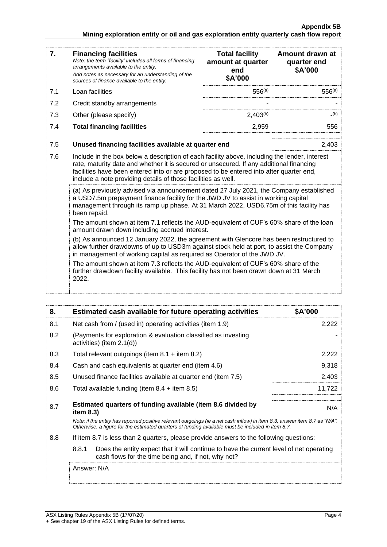| 7.  | <b>Financing facilities</b><br>Note: the term "facility' includes all forms of financing<br>arrangements available to the entity.<br>Add notes as necessary for an understanding of the<br>sources of finance available to the entity.                                                                                                               | <b>Total facility</b><br>amount at quarter<br>end<br>\$A'000 | Amount drawn at<br>quarter end<br>\$A'000 |  |  |
|-----|------------------------------------------------------------------------------------------------------------------------------------------------------------------------------------------------------------------------------------------------------------------------------------------------------------------------------------------------------|--------------------------------------------------------------|-------------------------------------------|--|--|
| 7.1 | Loan facilities                                                                                                                                                                                                                                                                                                                                      | $556^{(a)}$                                                  | $556^{(a)}$                               |  |  |
| 7.2 | Credit standby arrangements                                                                                                                                                                                                                                                                                                                          |                                                              |                                           |  |  |
| 7.3 | Other (please specify)                                                                                                                                                                                                                                                                                                                               | $2,403^{(b)}$                                                | $_-(b)$                                   |  |  |
| 7.4 | <b>Total financing facilities</b>                                                                                                                                                                                                                                                                                                                    | 2,959                                                        | 556                                       |  |  |
| 7.5 | Unused financing facilities available at quarter end<br>2,403                                                                                                                                                                                                                                                                                        |                                                              |                                           |  |  |
| 7.6 | Include in the box below a description of each facility above, including the lender, interest<br>rate, maturity date and whether it is secured or unsecured. If any additional financing<br>facilities have been entered into or are proposed to be entered into after quarter end,<br>include a note providing details of those facilities as well. |                                                              |                                           |  |  |
|     | (a) As previously advised via announcement dated 27 July 2021, the Company established<br>a USD7.5m prepayment finance facility for the JWD JV to assist in working capital<br>management through its ramp up phase. At 31 March 2022, USD6.75m of this facility has<br>been repaid.                                                                 |                                                              |                                           |  |  |
|     | The amount shown at item 7.1 reflects the AUD-equivalent of CUF's 60% share of the loan<br>amount drawn down including accrued interest.                                                                                                                                                                                                             |                                                              |                                           |  |  |
|     | (b) As announced 12 January 2022, the agreement with Glencore has been restructured to<br>allow further drawdowns of up to USD3m against stock held at port, to assist the Company<br>in management of working capital as required as Operator of the JWD JV.                                                                                        |                                                              |                                           |  |  |
|     | The amount shown at item 7.3 reflects the AUD-equivalent of CUF's 60% share of the<br>further drawdown facility available. This facility has not been drawn down at 31 March<br>2022.                                                                                                                                                                |                                                              |                                           |  |  |

| 8.  | Estimated cash available for future operating activities                                                                                                                                                                        | \$A'000 |  |
|-----|---------------------------------------------------------------------------------------------------------------------------------------------------------------------------------------------------------------------------------|---------|--|
| 8.1 | Net cash from / (used in) operating activities (item 1.9)                                                                                                                                                                       | 2,222   |  |
| 8.2 | (Payments for exploration & evaluation classified as investing<br>activities) (item $2.1(d)$ )                                                                                                                                  |         |  |
| 8.3 | Total relevant outgoings (item $8.1 +$ item $8.2$ )                                                                                                                                                                             | 2.222   |  |
| 8.4 | Cash and cash equivalents at quarter end (item 4.6)                                                                                                                                                                             | 9,318   |  |
| 8.5 | Unused finance facilities available at quarter end (item 7.5)                                                                                                                                                                   | 2,403   |  |
| 8.6 | Total available funding (item $8.4$ + item $8.5$ )                                                                                                                                                                              | 11,722  |  |
| 8.7 | Estimated quarters of funding available (item 8.6 divided by<br>item $8.3$ )                                                                                                                                                    | N/A     |  |
|     | Note: if the entity has reported positive relevant outgoings (ie a net cash inflow) in item 8.3, answer item 8.7 as "N/A".<br>Otherwise, a figure for the estimated quarters of funding available must be included in item 8.7. |         |  |
| 8.8 | If item 8.7 is less than 2 quarters, please provide answers to the following questions:                                                                                                                                         |         |  |
|     | 8.8.1<br>Does the entity expect that it will continue to have the current level of net operating<br>cash flows for the time being and, if not, why not?                                                                         |         |  |
|     | Answer: N/A                                                                                                                                                                                                                     |         |  |